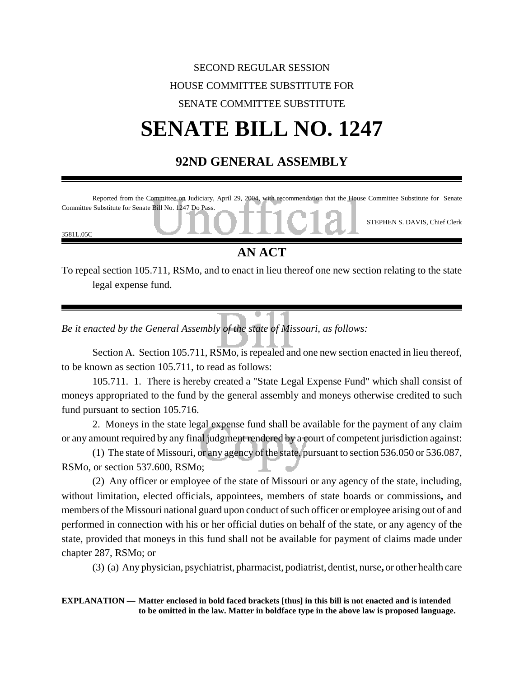## SECOND REGULAR SESSION HOUSE COMMITTEE SUBSTITUTE FOR SENATE COMMITTEE SUBSTITUTE **SENATE BILL NO. 1247**

## **92ND GENERAL ASSEMBLY**



## **AN ACT**

To repeal section 105.711, RSMo, and to enact in lieu thereof one new section relating to the state legal expense fund.

*Be it enacted by the General Assembly of the state of Missouri, as follows:*

Section A. Section 105.711, RSMo, is repealed and one new section enacted in lieu thereof, to be known as section 105.711, to read as follows:

105.711. 1. There is hereby created a "State Legal Expense Fund" which shall consist of moneys appropriated to the fund by the general assembly and moneys otherwise credited to such fund pursuant to section 105.716.

2. Moneys in the state legal expense fund shall be available for the payment of any claim or any amount required by any final judgment rendered by a court of competent jurisdiction against:

(1) The state of Missouri, or any agency of the state, pursuant to section 536.050 or 536.087, RSMo, or section 537.600, RSMo;

(2) Any officer or employee of the state of Missouri or any agency of the state, including, without limitation, elected officials, appointees, members of state boards or commissions**,** and members of the Missouri national guard upon conduct of such officer or employee arising out of and performed in connection with his or her official duties on behalf of the state, or any agency of the state, provided that moneys in this fund shall not be available for payment of claims made under chapter 287, RSMo; or

(3) (a) Any physician, psychiatrist, pharmacist, podiatrist, dentist, nurse**,** or other health care

**EXPLANATION — Matter enclosed in bold faced brackets [thus] in this bill is not enacted and is intended to be omitted in the law. Matter in boldface type in the above law is proposed language.**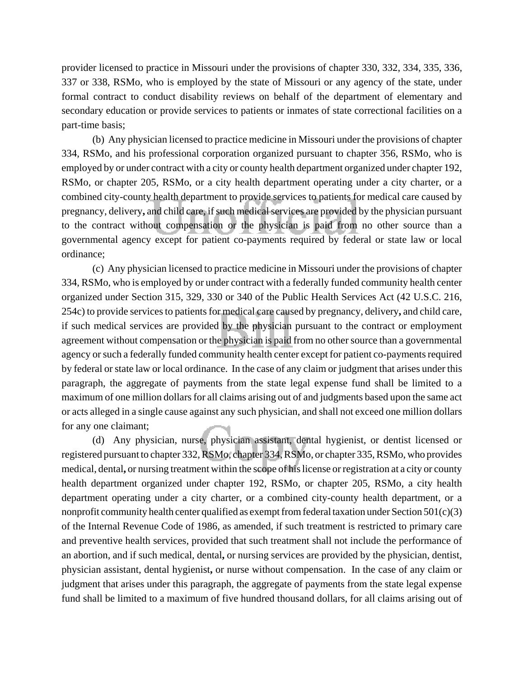provider licensed to practice in Missouri under the provisions of chapter 330, 332, 334, 335, 336, 337 or 338, RSMo, who is employed by the state of Missouri or any agency of the state, under formal contract to conduct disability reviews on behalf of the department of elementary and secondary education or provide services to patients or inmates of state correctional facilities on a part-time basis;

(b) Any physician licensed to practice medicine in Missouri under the provisions of chapter 334, RSMo, and his professional corporation organized pursuant to chapter 356, RSMo, who is employed by or under contract with a city or county health department organized under chapter 192, RSMo, or chapter 205, RSMo, or a city health department operating under a city charter, or a combined city-county health department to provide services to patients for medical care caused by pregnancy, delivery**,** and child care, if such medical services are provided by the physician pursuant to the contract without compensation or the physician is paid from no other source than a governmental agency except for patient co-payments required by federal or state law or local ordinance;

(c) Any physician licensed to practice medicine in Missouri under the provisions of chapter 334, RSMo, who is employed by or under contract with a federally funded community health center organized under Section 315, 329, 330 or 340 of the Public Health Services Act (42 U.S.C. 216, 254c) to provide services to patients for medical care caused by pregnancy, delivery**,** and child care, if such medical services are provided by the physician pursuant to the contract or employment agreement without compensation or the physician is paid from no other source than a governmental agency or such a federally funded community health center except for patient co-payments required by federal or state law or local ordinance. In the case of any claim or judgment that arises under this paragraph, the aggregate of payments from the state legal expense fund shall be limited to a maximum of one million dollars for all claims arising out of and judgments based upon the same act or acts alleged in a single cause against any such physician, and shall not exceed one million dollars for any one claimant;

(d) Any physician, nurse, physician assistant, dental hygienist, or dentist licensed or registered pursuant to chapter 332, RSMo, chapter 334, RSMo, or chapter 335, RSMo, who provides medical, dental**,** or nursing treatment within the scope of his license or registration at a city or county health department organized under chapter 192, RSMo, or chapter 205, RSMo, a city health department operating under a city charter, or a combined city-county health department, or a nonprofit community health center qualified as exempt from federal taxation under Section 501(c)(3) of the Internal Revenue Code of 1986, as amended, if such treatment is restricted to primary care and preventive health services, provided that such treatment shall not include the performance of an abortion, and if such medical, dental**,** or nursing services are provided by the physician, dentist, physician assistant, dental hygienist**,** or nurse without compensation. In the case of any claim or judgment that arises under this paragraph, the aggregate of payments from the state legal expense fund shall be limited to a maximum of five hundred thousand dollars, for all claims arising out of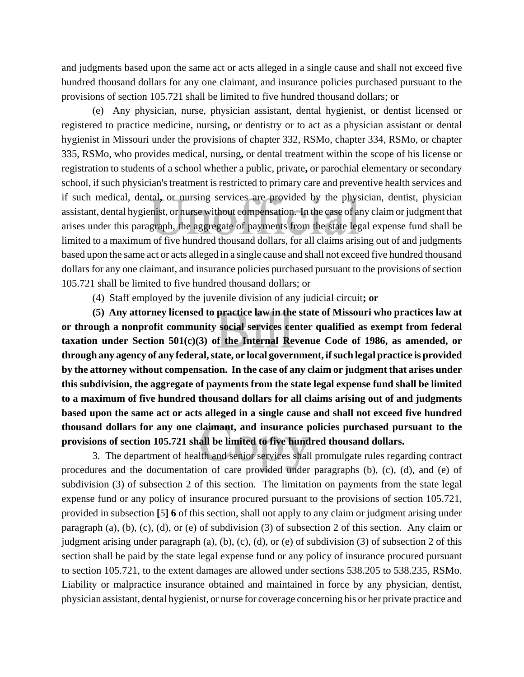and judgments based upon the same act or acts alleged in a single cause and shall not exceed five hundred thousand dollars for any one claimant, and insurance policies purchased pursuant to the provisions of section 105.721 shall be limited to five hundred thousand dollars; or

(e) Any physician, nurse, physician assistant, dental hygienist, or dentist licensed or registered to practice medicine, nursing**,** or dentistry or to act as a physician assistant or dental hygienist in Missouri under the provisions of chapter 332, RSMo, chapter 334, RSMo, or chapter 335, RSMo, who provides medical, nursing**,** or dental treatment within the scope of his license or registration to students of a school whether a public, private**,** or parochial elementary or secondary school, if such physician's treatment is restricted to primary care and preventive health services and if such medical, dental**,** or nursing services are provided by the physician, dentist, physician assistant, dental hygienist, or nurse without compensation. In the case of any claim or judgment that arises under this paragraph, the aggregate of payments from the state legal expense fund shall be limited to a maximum of five hundred thousand dollars, for all claims arising out of and judgments based upon the same act or acts alleged in a single cause and shall not exceed five hundred thousand dollars for any one claimant, and insurance policies purchased pursuant to the provisions of section 105.721 shall be limited to five hundred thousand dollars; or

(4) Staff employed by the juvenile division of any judicial circuit**; or**

**(5) Any attorney licensed to practice law in the state of Missouri who practices law at or through a nonprofit community social services center qualified as exempt from federal taxation under Section 501(c)(3) of the Internal Revenue Code of 1986, as amended, or through any agency of any federal, state, or local government, if such legal practice is provided by the attorney without compensation. In the case of any claim or judgment that arises under this subdivision, the aggregate of payments from the state legal expense fund shall be limited to a maximum of five hundred thousand dollars for all claims arising out of and judgments based upon the same act or acts alleged in a single cause and shall not exceed five hundred thousand dollars for any one claimant, and insurance policies purchased pursuant to the provisions of section 105.721 shall be limited to five hundred thousand dollars.**

3. The department of health and senior services shall promulgate rules regarding contract procedures and the documentation of care provided under paragraphs (b), (c), (d), and (e) of subdivision (3) of subsection 2 of this section. The limitation on payments from the state legal expense fund or any policy of insurance procured pursuant to the provisions of section 105.721, provided in subsection **[**5**] 6** of this section, shall not apply to any claim or judgment arising under paragraph (a), (b), (c), (d), or (e) of subdivision (3) of subsection 2 of this section. Any claim or judgment arising under paragraph (a), (b), (c), (d), or (e) of subdivision (3) of subsection 2 of this section shall be paid by the state legal expense fund or any policy of insurance procured pursuant to section 105.721, to the extent damages are allowed under sections 538.205 to 538.235, RSMo. Liability or malpractice insurance obtained and maintained in force by any physician, dentist, physician assistant, dental hygienist, or nurse for coverage concerning his or her private practice and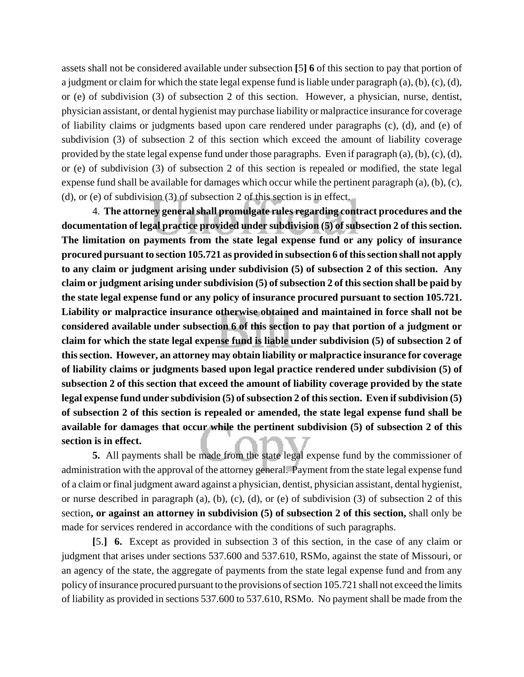assets shall not be considered available under subsection **[**5**] 6** of this section to pay that portion of a judgment or claim for which the state legal expense fund is liable under paragraph  $(a)$ ,  $(b)$ ,  $(c)$ ,  $(d)$ , or (e) of subdivision (3) of subsection 2 of this section. However, a physician, nurse, dentist, physician assistant, or dental hygienist may purchase liability or malpractice insurance for coverage of liability claims or judgments based upon care rendered under paragraphs (c), (d), and (e) of subdivision (3) of subsection 2 of this section which exceed the amount of liability coverage provided by the state legal expense fund under those paragraphs. Even if paragraph  $(a)$ ,  $(b)$ ,  $(c)$ ,  $(d)$ , or (e) of subdivision (3) of subsection 2 of this section is repealed or modified, the state legal expense fund shall be available for damages which occur while the pertinent paragraph (a), (b), (c), (d), or (e) of subdivision (3) of subsection 2 of this section is in effect.

4. **The attorney general shall promulgate rules regarding contract procedures and the documentation of legal practice provided under subdivision (5) of subsection 2 of this section. The limitation on payments from the state legal expense fund or any policy of insurance procured pursuant to section 105.721 as provided in subsection 6 of this section shall not apply to any claim or judgment arising under subdivision (5) of subsection 2 of this section. Any claim or judgment arising under subdivision (5) of subsection 2 of this section shall be paid by the state legal expense fund or any policy of insurance procured pursuant to section 105.721. Liability or malpractice insurance otherwise obtained and maintained in force shall not be considered available under subsection 6 of this section to pay that portion of a judgment or claim for which the state legal expense fund is liable under subdivision (5) of subsection 2 of this section. However, an attorney may obtain liability or malpractice insurance for coverage of liability claims or judgments based upon legal practice rendered under subdivision (5) of subsection 2 of this section that exceed the amount of liability coverage provided by the state legal expense fund under subdivision (5) of subsection 2 of this section. Even if subdivision (5) of subsection 2 of this section is repealed or amended, the state legal expense fund shall be available for damages that occur while the pertinent subdivision (5) of subsection 2 of this section is in effect.**

**5.** All payments shall be made from the state legal expense fund by the commissioner of administration with the approval of the attorney general. Payment from the state legal expense fund of a claim or final judgment award against a physician, dentist, physician assistant, dental hygienist, or nurse described in paragraph (a), (b), (c), (d), or (e) of subdivision (3) of subsection 2 of this section**, or against an attorney in subdivision (5) of subsection 2 of this section,** shall only be made for services rendered in accordance with the conditions of such paragraphs.

**[**5.**] 6.** Except as provided in subsection 3 of this section, in the case of any claim or judgment that arises under sections 537.600 and 537.610, RSMo, against the state of Missouri, or an agency of the state, the aggregate of payments from the state legal expense fund and from any policy of insurance procured pursuant to the provisions of section 105.721 shall not exceed the limits of liability as provided in sections 537.600 to 537.610, RSMo. No payment shall be made from the